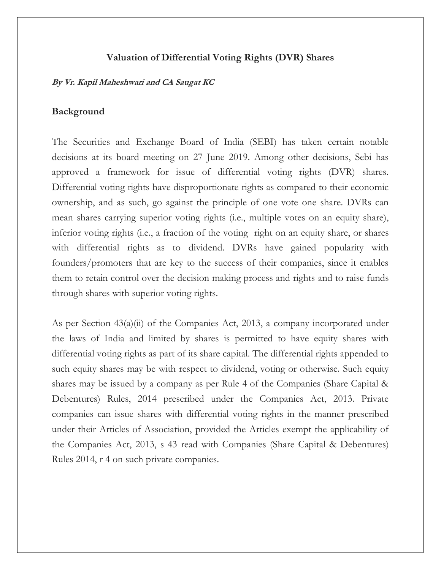#### **Valuation of Differential Voting Rights (DVR) Shares**

#### **By Vr. Kapil Maheshwari and CA Saugat KC**

#### **Background**

The Securities and Exchange Board of India (SEBI) has taken certain notable decisions at its board meeting on 27 June 2019. Among other decisions, Sebi has approved a framework for issue of differential voting rights (DVR) shares. Differential voting rights have disproportionate rights as compared to their economic ownership, and as such, go against the principle of one vote one share. DVRs can mean shares carrying superior voting rights (i.e., multiple votes on an equity share), inferior voting rights (i.e., a fraction of the voting right on an equity share, or shares with differential rights as to dividend. DVRs have gained popularity with founders/promoters that are key to the success of their companies, since it enables them to retain control over the decision making process and rights and to raise funds through shares with superior voting rights.

As per [Section 43\(a\)\(ii\)](https://www.lexisnexis.com/ap/pg/indiacompanieslaw/document/424411/5J86-KS41-F0G9-R534-00000-00/linkHandler.faces?psldocinfo=Issuance_of_shares_with_differential_voting_rights___overview&psldocinfo=Issuance_of_shares_with_differential_voting_rights___overview&linkInfo=F%23IN%23INACTS%23act%25IN2013COMA01%25sect%2543%25section%2543%25&A=0.3433860340682179&bct=A&ps=&risb=&service=citation&langcountry=IN) of the Companies Act, 2013, a company incorporated under the laws of India and limited by shares is permitted to have equity shares with differential voting rights as part of its share capital. The differential rights appended to such equity shares may be with respect to dividend, voting or otherwise. Such equity shares may be issued by a company as per Rule 4 of the Companies (Share Capital & Debentures) Rules, 2014 prescribed under the Companies Act, 2013. Private companies can issue shares with differential voting rights in the manner prescribed under their Articles of Association, provided the Articles exempt the applicability of the [Companies Act, 2013, s 43](https://www.lexisnexis.com/ap/pg/indiacompanieslaw/document/424411/5J86-KS41-F0G9-R534-00000-00/linkHandler.faces?psldocinfo=Issuance_of_shares_with_differential_voting_rights___overview&psldocinfo=Issuance_of_shares_with_differential_voting_rights___overview&linkInfo=F%23IN%23INACTS%23act%25IN2013COMA01%25sect%2543%25section%2543%25&A=0.6919528456241225&bct=A&ps=&risb=&service=citation&langcountry=IN) read with Companies (Share Capital & Debentures) Rules 2014, r 4 on such private companies.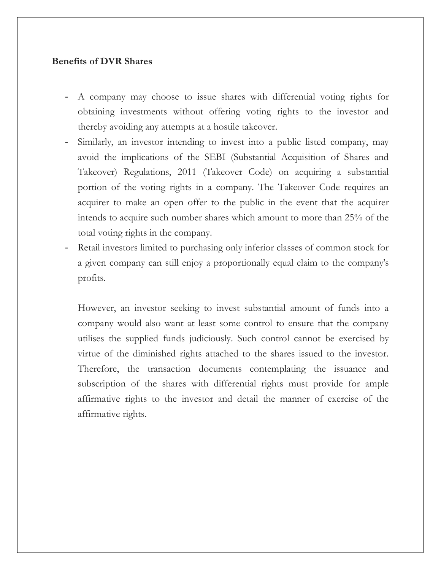### **Benefits of DVR Shares**

- A company may choose to issue shares with differential voting rights for obtaining investments without offering voting rights to the investor and thereby avoiding any attempts at a hostile takeover.
- Similarly, an investor intending to invest into a public listed company, may avoid the implications of the SEBI (Substantial Acquisition of Shares and Takeover) Regulations, 2011 (Takeover Code) on acquiring a substantial portion of the voting rights in a company. The Takeover Code requires an acquirer to make an open offer to the public in the event that the acquirer intends to acquire such number shares which amount to more than 25% of the total voting rights in the company.
- Retail investors limited to purchasing only inferior classes of common stock for a given company can still enjoy a proportionally equal claim to the company's profits.

However, an investor seeking to invest substantial amount of funds into a company would also want at least some control to ensure that the company utilises the supplied funds judiciously. Such control cannot be exercised by virtue of the diminished rights attached to the shares issued to the investor. Therefore, the transaction documents contemplating the issuance and subscription of the shares with differential rights must provide for ample affirmative rights to the investor and detail the manner of exercise of the affirmative rights.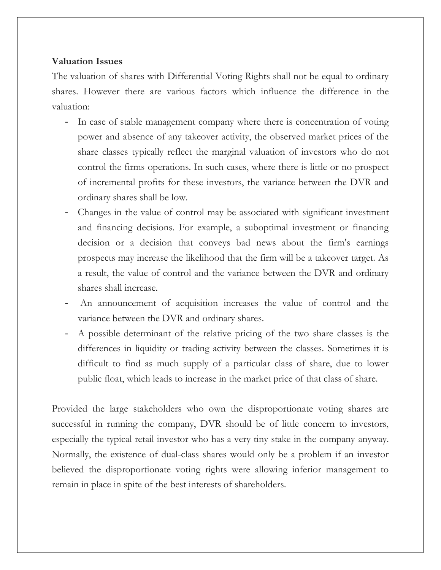# **Valuation Issues**

The valuation of shares with Differential Voting Rights shall not be equal to ordinary shares. However there are various factors which influence the difference in the valuation:

- In case of stable management company where there is concentration of voting power and absence of any takeover activity, the observed market prices of the share classes typically reflect the marginal valuation of investors who do not control the firms operations. In such cases, where there is little or no prospect of incremental profits for these investors, the variance between the DVR and ordinary shares shall be low.
- Changes in the value of control may be associated with significant investment and financing decisions. For example, a suboptimal investment or financing decision or a decision that conveys bad news about the firm's earnings prospects may increase the likelihood that the firm will be a takeover target. As a result, the value of control and the variance between the DVR and ordinary shares shall increase.
- An announcement of acquisition increases the value of control and the variance between the DVR and ordinary shares.
- A possible determinant of the relative pricing of the two share classes is the differences in liquidity or trading activity between the classes. Sometimes it is difficult to find as much supply of a particular class of share, due to lower public float, which leads to increase in the market price of that class of share.

Provided the large stakeholders who own the disproportionate voting shares are successful in running the company, DVR should be of little concern to investors, especially the typical retail investor who has a very tiny stake in the company anyway. Normally, the existence of dual-class shares would only be a problem if an investor believed the disproportionate voting rights were allowing inferior management to remain in place in spite of the best interests of [shareholders.](https://www.investopedia.com/terms/s/shareholder.asp)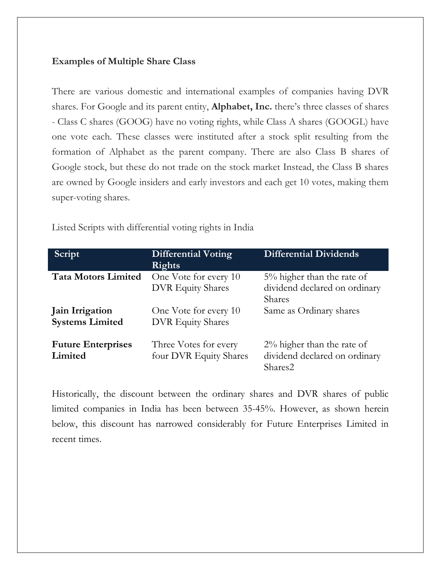## **Examples of Multiple Share Class**

There are various domestic and international examples of companies having DVR shares. For Google and its parent entity, **Alphabet, Inc.** there's three classes of shares - Class C shares (GOOG) have no voting rights, while Class A shares (GOOGL) have one vote each. These classes were instituted after a stock split resulting from the formation of Alphabet as the parent company. There are also Class B shares of Google stock, but these do not trade on the stock market Instead, the Class B shares are owned by Google insiders and early investors and each get 10 votes, making them super-voting shares.

Listed Scripts with differential voting rights in India

| Script                                    | <b>Differential Voting</b><br>Rights              | <b>Differential Dividends</b>                                                   |
|-------------------------------------------|---------------------------------------------------|---------------------------------------------------------------------------------|
| <b>Tata Motors Limited</b>                | One Vote for every 10<br><b>DVR</b> Equity Shares | $5\%$ higher than the rate of<br>dividend declared on ordinary<br><b>Shares</b> |
| Jain Irrigation<br><b>Systems Limited</b> | One Vote for every 10<br><b>DVR Equity Shares</b> | Same as Ordinary shares                                                         |
| <b>Future Enterprises</b><br>Limited      | Three Votes for every<br>four DVR Equity Shares   | $2\%$ higher than the rate of<br>dividend declared on ordinary<br>Shares2       |

Historically, the discount between the ordinary shares and DVR shares of public limited companies in India has been between 35-45%. However, as shown herein below, this discount has narrowed considerably for Future Enterprises Limited in recent times.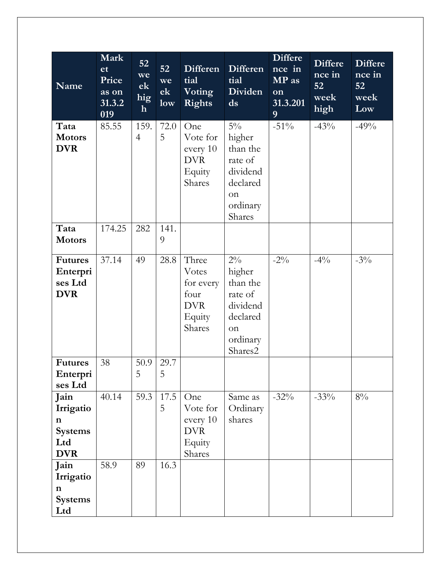| <b>Name</b>                                                             | Mark<br>et<br>Price<br>as on<br>31.3.2<br>019 | 52 <sub>2</sub><br>we<br>ek<br>hig<br>$\mathbf{h}$ | 52<br>we<br>ek<br>low | <b>Differen</b><br>tial<br>Voting<br><b>Rights</b>                    | Differen<br>tial<br>Dividen<br>ds                                                           | <b>Differe</b><br>$\overline{n}$ ce in<br>MP as<br>on<br>31.3.201<br>9 | <b>Differe</b><br>nce in<br>52<br>week<br>high | <b>Differe</b><br>nce in<br>52<br>week<br>Low |
|-------------------------------------------------------------------------|-----------------------------------------------|----------------------------------------------------|-----------------------|-----------------------------------------------------------------------|---------------------------------------------------------------------------------------------|------------------------------------------------------------------------|------------------------------------------------|-----------------------------------------------|
| Tata<br><b>Motors</b><br><b>DVR</b>                                     | 85.55                                         | 159.<br>$\overline{4}$                             | 72.0<br>5             | One<br>Vote for<br>every 10<br><b>DVR</b><br>Equity<br>Shares         | $5\%$<br>higher<br>than the<br>rate of<br>dividend<br>declared<br>on<br>ordinary<br>Shares  | $-51\%$                                                                | $-43%$                                         | $-49%$                                        |
| Tata<br><b>Motors</b>                                                   | 174.25                                        | 282                                                | 141.<br>9             |                                                                       |                                                                                             |                                                                        |                                                |                                               |
| <b>Futures</b><br>Enterpri<br>ses Ltd<br><b>DVR</b>                     | 37.14                                         | 49                                                 | 28.8                  | Three<br>Votes<br>for every<br>four<br><b>DVR</b><br>Equity<br>Shares | $2\%$<br>higher<br>than the<br>rate of<br>dividend<br>declared<br>on<br>ordinary<br>Shares2 | $-2\%$                                                                 | $-4\%$                                         | $-3\%$                                        |
| <b>Futures</b><br>Enterpri<br>ses Ltd                                   | 38                                            | 50.9<br>5                                          | 29.7<br>5             |                                                                       |                                                                                             |                                                                        |                                                |                                               |
| Jain<br>Irrigatio<br>$\mathbf n$<br><b>Systems</b><br>Ltd<br><b>DVR</b> | 40.14                                         | 59.3                                               | 17.5<br>5             | One<br>Vote for<br>every 10<br><b>DVR</b><br>Equity<br>Shares         | Same as<br>Ordinary<br>shares                                                               | $-32%$                                                                 | $-33%$                                         | $8\%$                                         |
| Jain<br>Irrigatio<br>$\mathbf n$<br><b>Systems</b><br>Ltd               | 58.9                                          | 89                                                 | 16.3                  |                                                                       |                                                                                             |                                                                        |                                                |                                               |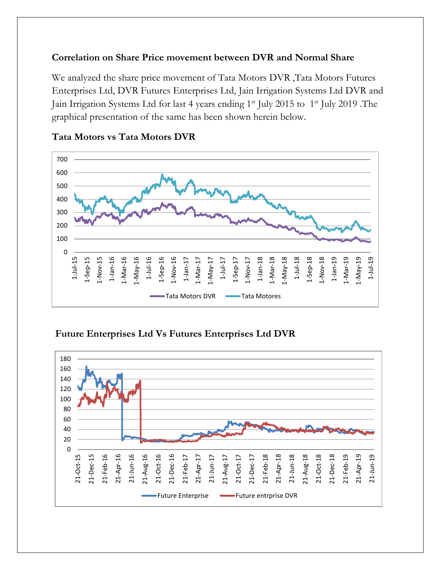# **Correlation on Share Price movement between DVR and Normal Share**

We analyzed the share price movement of Tata Motors DVR ,Tata Motors Futures Enterprises Ltd, DVR Futures Enterprises Ltd, Jain Irrigation Systems Ltd DVR and Jain Irrigation Systems Ltd for last 4 years ending 1<sup>st</sup> July 2015 to 1<sup>st</sup> July 2019 .The graphical presentation of the same has been shown herein below.



## **Tata Motors vs Tata Motors DVR**

**Future Enterprises Ltd Vs Futures Enterprises Ltd DVR**

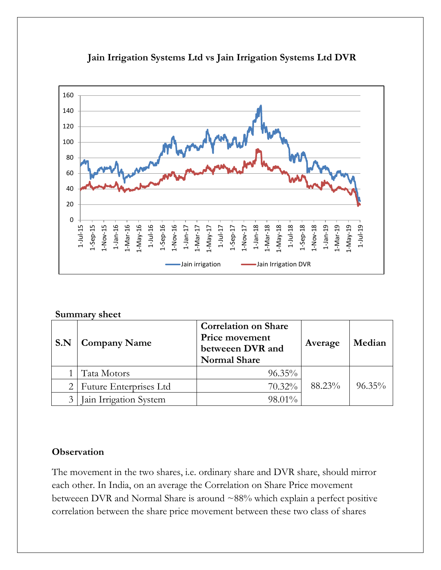

# **Jain Irrigation Systems Ltd vs Jain Irrigation Systems Ltd DVR**

#### **Summary sheet**

| S.N | <b>Company Name</b>           | <b>Correlation on Share</b><br><b>Price movement</b><br>betweeen DVR and<br><b>Normal Share</b> | Average | Median    |
|-----|-------------------------------|-------------------------------------------------------------------------------------------------|---------|-----------|
|     | Tata Motors                   | $96.35\%$                                                                                       |         |           |
|     | <b>Future Enterprises Ltd</b> | 70.32%                                                                                          | 88.23%  | $96.35\%$ |
|     | Jain Irrigation System        | 98.01%                                                                                          |         |           |

# **Observation**

The movement in the two shares, i.e. ordinary share and DVR share, should mirror each other. In India, on an average the Correlation on Share Price movement betweeen DVR and Normal Share is around ~88% which explain a perfect positive correlation between the share price movement between these two class of shares